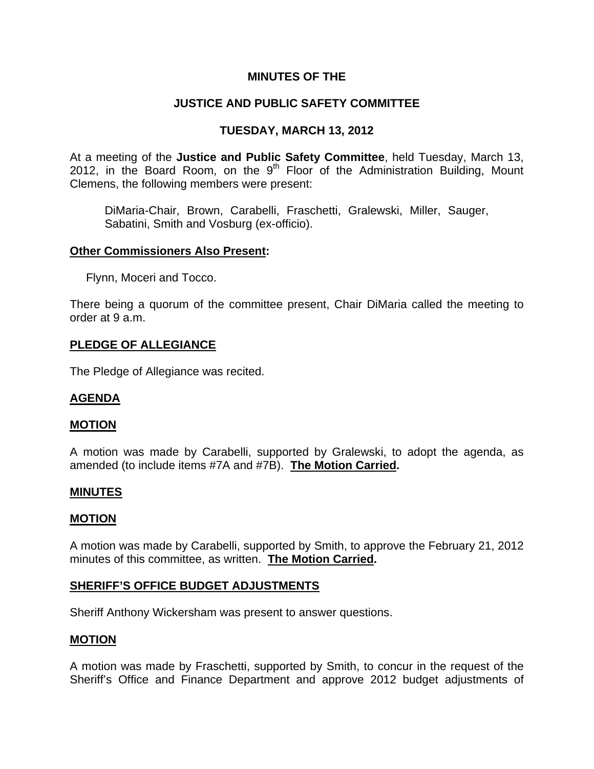# **MINUTES OF THE**

## **JUSTICE AND PUBLIC SAFETY COMMITTEE**

## **TUESDAY, MARCH 13, 2012**

At a meeting of the **Justice and Public Safety Committee**, held Tuesday, March 13, 2012, in the Board Room, on the  $9<sup>th</sup>$  Floor of the Administration Building, Mount Clemens, the following members were present:

DiMaria-Chair, Brown, Carabelli, Fraschetti, Gralewski, Miller, Sauger, Sabatini, Smith and Vosburg (ex-officio).

#### **Other Commissioners Also Present:**

Flynn, Moceri and Tocco.

There being a quorum of the committee present, Chair DiMaria called the meeting to order at 9 a.m.

#### **PLEDGE OF ALLEGIANCE**

The Pledge of Allegiance was recited.

### **AGENDA**

#### **MOTION**

A motion was made by Carabelli, supported by Gralewski, to adopt the agenda, as amended (to include items #7A and #7B). **The Motion Carried.** 

#### **MINUTES**

#### **MOTION**

A motion was made by Carabelli, supported by Smith, to approve the February 21, 2012 minutes of this committee, as written. **The Motion Carried.** 

#### **SHERIFF'S OFFICE BUDGET ADJUSTMENTS**

Sheriff Anthony Wickersham was present to answer questions.

### **MOTION**

A motion was made by Fraschetti, supported by Smith, to concur in the request of the Sheriff's Office and Finance Department and approve 2012 budget adjustments of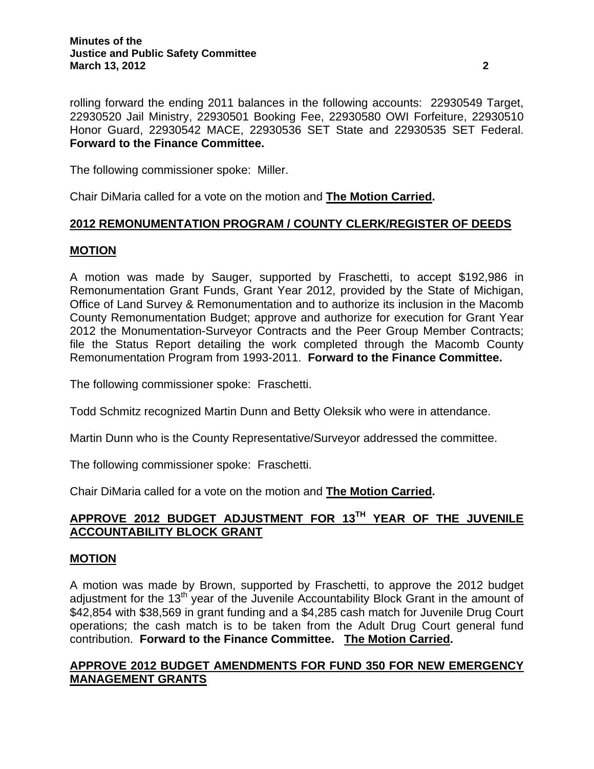rolling forward the ending 2011 balances in the following accounts: 22930549 Target, 22930520 Jail Ministry, 22930501 Booking Fee, 22930580 OWI Forfeiture, 22930510 Honor Guard, 22930542 MACE, 22930536 SET State and 22930535 SET Federal. **Forward to the Finance Committee.** 

The following commissioner spoke: Miller.

Chair DiMaria called for a vote on the motion and **The Motion Carried.** 

## **2012 REMONUMENTATION PROGRAM / COUNTY CLERK/REGISTER OF DEEDS**

## **MOTION**

A motion was made by Sauger, supported by Fraschetti, to accept \$192,986 in Remonumentation Grant Funds, Grant Year 2012, provided by the State of Michigan, Office of Land Survey & Remonumentation and to authorize its inclusion in the Macomb County Remonumentation Budget; approve and authorize for execution for Grant Year 2012 the Monumentation-Surveyor Contracts and the Peer Group Member Contracts; file the Status Report detailing the work completed through the Macomb County Remonumentation Program from 1993-2011. **Forward to the Finance Committee.** 

The following commissioner spoke: Fraschetti.

Todd Schmitz recognized Martin Dunn and Betty Oleksik who were in attendance.

Martin Dunn who is the County Representative/Surveyor addressed the committee.

The following commissioner spoke: Fraschetti.

Chair DiMaria called for a vote on the motion and **The Motion Carried.** 

# **APPROVE 2012 BUDGET ADJUSTMENT FOR 13TH YEAR OF THE JUVENILE ACCOUNTABILITY BLOCK GRANT**

### **MOTION**

A motion was made by Brown, supported by Fraschetti, to approve the 2012 budget adjustment for the 13<sup>th</sup> year of the Juvenile Accountability Block Grant in the amount of \$42,854 with \$38,569 in grant funding and a \$4,285 cash match for Juvenile Drug Court operations; the cash match is to be taken from the Adult Drug Court general fund contribution. **Forward to the Finance Committee. The Motion Carried.** 

# **APPROVE 2012 BUDGET AMENDMENTS FOR FUND 350 FOR NEW EMERGENCY MANAGEMENT GRANTS**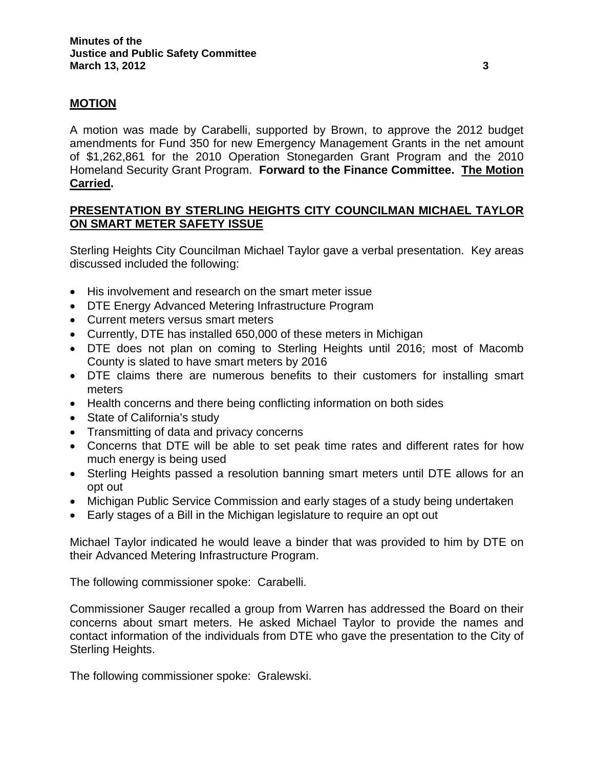# **MOTION**

A motion was made by Carabelli, supported by Brown, to approve the 2012 budget amendments for Fund 350 for new Emergency Management Grants in the net amount of \$1,262,861 for the 2010 Operation Stonegarden Grant Program and the 2010 Homeland Security Grant Program. **Forward to the Finance Committee. The Motion Carried.** 

# **PRESENTATION BY STERLING HEIGHTS CITY COUNCILMAN MICHAEL TAYLOR ON SMART METER SAFETY ISSUE**

Sterling Heights City Councilman Michael Taylor gave a verbal presentation. Key areas discussed included the following:

- His involvement and research on the smart meter issue
- DTE Energy Advanced Metering Infrastructure Program
- Current meters versus smart meters
- Currently, DTE has installed 650,000 of these meters in Michigan
- DTE does not plan on coming to Sterling Heights until 2016; most of Macomb County is slated to have smart meters by 2016
- DTE claims there are numerous benefits to their customers for installing smart meters
- Health concerns and there being conflicting information on both sides
- State of California's study
- Transmitting of data and privacy concerns
- Concerns that DTE will be able to set peak time rates and different rates for how much energy is being used
- Sterling Heights passed a resolution banning smart meters until DTE allows for an opt out
- Michigan Public Service Commission and early stages of a study being undertaken
- Early stages of a Bill in the Michigan legislature to require an opt out

Michael Taylor indicated he would leave a binder that was provided to him by DTE on their Advanced Metering Infrastructure Program.

The following commissioner spoke: Carabelli.

Commissioner Sauger recalled a group from Warren has addressed the Board on their concerns about smart meters. He asked Michael Taylor to provide the names and contact information of the individuals from DTE who gave the presentation to the City of Sterling Heights.

The following commissioner spoke: Gralewski.